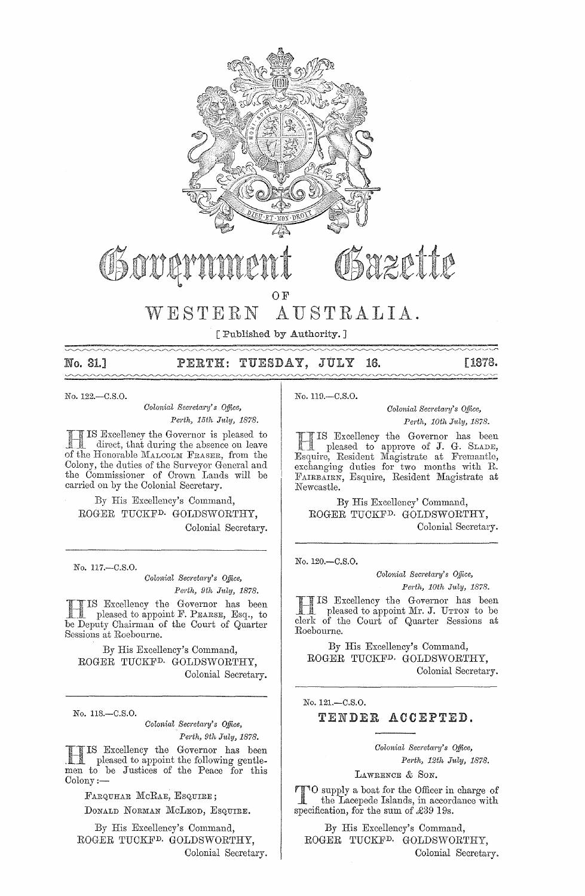

[ Published by Authority.]

No. 31.1

TUESDAY, JULY PERTH: 16. [1878.

No. 122 .- C.S.O.

Colonial Secretary's Office, Perth, 15th July, 1878.

IS Excellency the Governor is pleased to direct, that during the absence on leave of the Honorable MALCOLM FRASER, from the Colony, the duties of the Surveyor General and the Commissioner of Crown Lands will be carried on by the Colonial Secretary.

By His Excellency's Command, ROGER TUCKF<sup>D.</sup> GOLDSWORTHY, Colonial Secretary.

No. 117 .- C.S.O.

Colonial Secretary's Office, Perth, 9th July, 1878.

IS Excellency the Governor has been<br>pleased to appoint F. PEARSE, Esq., to be Deputy Chairman of the Court of Quarter Sessions at Roebourne.

By His Excellency's Command, ROGER TUCKF<sup>D.</sup> GOLDSWORTHY, Colonial Secretary.

No. 118.-C.S.O.

Colonial Secretary's Office, Perth, 9th July, 1878.

IS Excellency the Governor has been pleased to appoint the following gentlemen to be Justices of the Peace for this  $\mathrm{Colony}:=$ 

FARQUHAR MCRAE, ESQUIRE;

DONALD NORMAN MCLEOD, ESQUIRE.

By His Excellency's Command. ROGER TUCKF<sup>D.</sup> GOLDSWORTHY. Colonial Secretary. No. 119.-C.S.O.

Colonial Secretary's Office, Perth, 10th July, 1878.

IS Excellency the Governor has been<br>pleased to approve of J. G. SLADE,<br>Esquire, Resident Magistrate at Fremantle, exchanging duties for two months with R. FAIRBAIRN, Esquire, Resident Magistrate at Newcastle.

By His Excellency' Command, ROGER TUCKF<sup>D.</sup> GOLDSWORTHY, Colonial Secretary.

No. 120.-C.S.O.

Colonial Secretary's Office, Perth, 10th July, 1878.

IS Excellency the Governor has been pleased to appoint Mr. J. UTTON to be clerk of the Court of Quarter Sessions at Roebourne.

By His Excellency's Command, ROGER TUCKF<sup>D.</sup> GOLDSWORTHY, Colonial Secretary.

No. 121.-C.S.O.

TENDER ACCEPTED.

Colonial Secretary's Office, Perth, 12th July, 1878.

LAWRENCE & SON.

<sup>8</sup>O supply a boat for the Officer in charge of the Lacepede Islands, in accordance with specification, for the sum of £39 19s.

By His Excellency's Command, ROGER TUCKF<sup>D.</sup> GOLDSWORTHY, Colonial Secretary.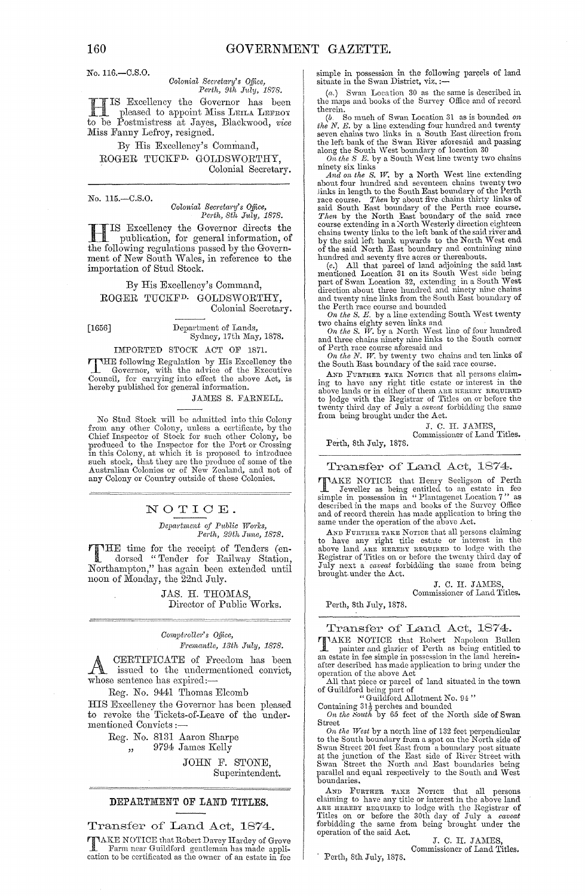No. 116.-C.S.0.

 $Colonial$  Secretary's Office. *Perth, 9th July, 1878.* 

HIS Excellency the Governor has been pleased to appoint Miss LEILA LEFROY to be Postmistress at Jayes, Blackwood, *vice* Miss Fanny Lefroy, resigned.

By His Excellency's Command, ROGER TUCKFD. GOLDSWORTHY, Colonial Secretary.

No. 115.-C.S.0.

*Oolonial Secreta,-y's Office, Petth, 8th J1,ly, 1878.* 

**ITE** IS Excellency the Governor directs the publication, for general information, of the following regulations passed by the Govern-TIS Excellency the Governor directs the publication, for general information, of ment of New South Wales, in reference to the importation of Stud Stock.

By His Excellency's Command, ROGER TUCKF<sup>D.</sup> GOLDSWORTHY, Colonial Secretary.

[1656] Department of Lands, Sydney, 17th May, 1878.

IMPORTED STOCK ACT OF 1871.

THE following Regulation by His Excellency the Governor, with the advice of the Executive Council, for carrying into effect the above Act, is hereby published for general information.

JAMES S. FARNELL.

No Stucl Stock will be admitted into this Colony from any other Colony, unless a certificate, by the Chief Inspector of Stock for such other Colony, be produced to the Inspector for the Port or Crossing in this Colony, at which it is proposed to introduce such stock, tha any Colony or Country outside of these Colonies.

## NOTIOE.

*Depa,-tment of Public Woo-Ies, Petth, 29th Jmw, 1878.* 

THE time for the receipt of Tenders (en-<br>
dorsed "Tender for Railway Station,<br>
Northermaton "besierein been extended until Northampton," has again been extended until noon of Monday, the 22nd July.

> JAS. H. THOMAS, Director of Public Works.

#### *Oomph-ollet's Qffice, Ptemantle, 18th July, 1878.*

A CERTIFICATE of Freedom has been<br>A issued to the undermentioned convict. issued to the undermentioned convict, whose sentence has expired:-

Reg. No. 9441 Thomas Elcomb

HIS Excellency the Governor has been pleased to revoke the Tickets-of-Leave of the undermentioned Convicts :-

Reg. No. 8131 Aaron Sharpe

,, 9794 James Kelly

JOHN F. STONE, Superintendent.

#### DEPARTMENT OF LAND TITLES.

## Transfer of Land Act, 1874.

T A.KE NOTICE that Robert Davey Hardey of Grove Farm near Guildford gentleman has made appli-cation to be certificated as the owner of an estate in fee

simple in possession in the following parçels of land<br>situate in the Swan District, viz. :—

(a.) Swan Location 30 as the same is described in the maps and books of the Survey Office and of record

therein.<br>  $(b.$  So much of Swan Location 31 as is bounded on<br>  $the N. E.$  by a line extending four hundred and twenty<br>
seven chains two links in a South East direction from<br>
the left bank of the Swan River aforesaid and passin

ninety six links

And on the S. W. by a North West line extending about four hundred and seventeen chains twenty two links in length of the Perth race course. *Then* by about five chains thirty links of race course. said South East boundary of the Perth race course.<br>*Then* by the North East boundary of the said race<br>course extending in a North Westerly direction eighteen chains twenty links to the left bank of the said river and<br>by the said left bank upwards to the North West end<br>of the said North East boundary and containing mine<br>hundred and seventy five acres or thereabouts.

(*c.*) All that parcel of land adjoining the said last mentioned Location 31 on its South West side being part of Swan Location 32, extending in a South West direction about three hundred and ninety nine chains and twenty nine links from the South East boundary of

the Perth race course and bounded<br>
On the S. E. by a line extending South West twenty<br>
two chains eighty seven links and<br>
two chains in On the S. W. by a North West line of four hundred<br>
and three chains ninety nine links

AND FURTHER TAKE NOTICE that all persons claiming to have any right title estate or interest in the above lands or in either of them are transfer to lodge with the Registrar of Titles on or before the twenty three the wenty third day of July a *caveat* forbidding the from being brought under the Act.

J. C. H. JAMES

Commissioner of Land Titles.

Perth, 8th July, 1878.

Transfer of Land Act, 1874.

TAKE NOTICE that Henry Seeligson of Perth<br>I Jeweller as being entitled to an estate in fee<br>simple in possession in "Plantagenet Location 7" as<br>described in the maps and books of the Survey Office<br>and of record therein has same under the operation of the above Act.

AND FURTHER TAKE NOTICE that all persons claiming to have any right title estate or interest in the above land ARE HEREBY REQUIRED to lodge with the Registrar of Titles on or before the twenty third day of July next a *caveat* forbidding the same from being bronght. under the Act.

> J. C. H. JAMES, Commissioner of Land Titles.

Perth, 8th July, 1878.

Transfer of Land Act, 1874.

TAKE NOTICE that Robert Napoleon Bullen<br>I painter and glazier of Perth as being entitled to an estate in fee simple in possession in the land hereinafter described has made application to bring under the operation of the above Act

All that piece or parcel of land situated in the town<br>of Guildford being part of<br>"Guildford Allotment No. 94"<br>Containing 31 $\frac{1}{9}$  perches and bounded<br>On the South by 65 feet of the North side of Swan

Street

On the West by a north line of 132 feet perpendicular<br>to the South boundary from a spot on the North side of<br>Swan Street 201 feet East from a boundary post situate<br>at the junction of the East side of River Street with<br>Swa

AND FURTHER TAKE NOTICE that all persons claiming to have any title or interest in the above land ARE HERSY REQUIRED to lodge with the Registrar of Titles on or before the 30th day of July a *caveat* forbidding the same fr

J. C. H. JAMES, Commissioner of Land Titles.

- Perth, 8th July, 1878.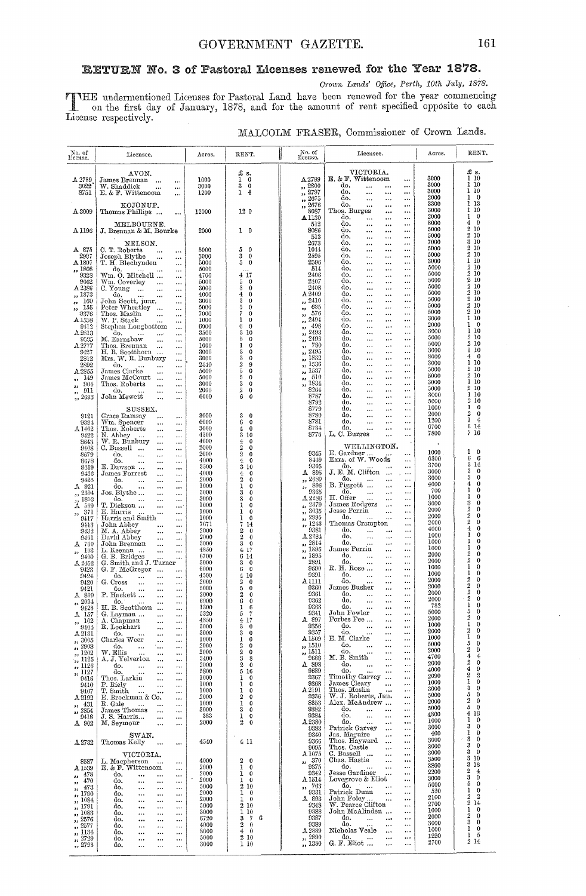# RETURN No. 3 of Pastoral Licenses renewed for the Year 1878.

Crown Lands' Office, Perth, 10th July, 1878.

THE undermentioned Licenses for Pastoral Land have been renewed for the year commencing<br>on the first day of January, 1878, and for the amount of rent specified opposite to each<br>License respectively.

|  |  | MALCOLM FRASER, Commissioner of Crown Lands. |  |  |  |
|--|--|----------------------------------------------|--|--|--|
|--|--|----------------------------------------------|--|--|--|

| No. of<br>license.                     | Licensee.                                                                        | Acres.       | RENT.                                                   | No. of<br>license.                                             | Licensee.                                                                                   | Acres.       | RENT.                                         |
|----------------------------------------|----------------------------------------------------------------------------------|--------------|---------------------------------------------------------|----------------------------------------------------------------|---------------------------------------------------------------------------------------------|--------------|-----------------------------------------------|
|                                        | AVON.                                                                            |              | £s.                                                     |                                                                | VICTORIA.<br>E. & F. Wittencom                                                              | 3000         | £ s.<br>1 10                                  |
| A 2789<br>3022                         | James Brennan<br>$\ddotsc$<br><br>W. Shaddick<br>$\ddot{\phantom{a}}$<br>        | 1000<br>3000 | ı<br>$\bf{0}$<br>3<br>$\bf{0}$                          | A 2799<br>,, 2800                                              | $\cdots$<br>do,<br><br>                                                                     | 3000         | 1 10                                          |
| 8751                                   | E. & F. Wittencom<br>                                                            | 1200         | ı<br>$\overline{4}$                                     | 2797<br>52<br>2675                                             | do.<br><br><br>do,<br><br>$\ddotsc$<br>                                                     | 3000<br>2000 | 110<br>$\ddot{\phantom{0}}$                   |
|                                        | KOJONUP.                                                                         |              |                                                         | $\bullet$<br>2676<br>$\overline{\phantom{a}}$                  | do.<br><br>$\ddotsc$<br>$\ddotsc$                                                           | 3300<br>3000 | 13<br>1<br>ı<br>10                            |
| A3009                                  | Thomas Phillips<br>$\cdots$                                                      | 12000        | 120                                                     | 8087<br>$\mathtt{Al}130$                                       | Thos. Burges<br><br><br>do,<br><br>                                                         | 2000         | 1<br>$\mathbf 0$                              |
| A 1196                                 | MELBOURNE.<br>J. Brennan & M. Bourke                                             | 2000         | 10                                                      | 512<br>8086                                                    | do.<br>$\cdots$<br><br><br>do,<br><br><br>                                                  | 8000<br>5000 | $\boldsymbol{0}$<br>4<br>10<br>2              |
|                                        |                                                                                  |              |                                                         | 513                                                            | do.<br><br><br>$\cdots$                                                                     | 5000         | 10<br>9.<br>10<br>s                           |
| A 875                                  | NELSON.<br>C. T. Roberts<br><br>$\cdots$                                         | 5000         | 5<br>$\mathbf 0$                                        | 2673<br>1044                                                   | do,<br><br>$\ddotsc$<br><br>do.<br><br><br>$\cdots$                                         | 7000<br>5000 | 10<br>9.                                      |
| 2907<br>$\text{A}\,1807$               | Joseph Blythe<br>$\cdots$                                                        | 3000<br>5000 | 3<br>$\bf{0}$<br>5<br>$\bf{0}$                          | 2595<br>2596                                                   | do,<br><br><br>$\ddotsc$<br>do.<br>$\cdots$                                                 | 5000<br>3000 | 2<br>10<br>10<br>1.                           |
| ,, 1808                                | T. H. Blechynden<br><br>do.<br>                                                  | 5000         |                                                         | 514                                                            | $\ddotsc$<br><br>do.<br>$\ddotsc$<br>$\cdots$<br>$\ddotsc$                                  | 5000         | $2\,10$                                       |
| 9328<br>9062                           | Wm. O. Mitchell<br><br>Wm. Coverley<br>$\ldots$<br>                              | 4700<br>5000 | 4 17<br>5<br>0                                          | 2406<br>2407                                                   | do.<br><br><br>$\cdots$<br>do.<br><br>$\cdots$<br>                                          | 5000<br>5000 | 210<br>210                                    |
| A 2386                                 | C. Young<br>$\cdots$<br>$\ldots$<br>                                             | 3000         | $\bf{3}$<br>$\bf{0}$                                    | 2408                                                           | do.<br>$\cdots$<br><br>$\ddotsc$                                                            | 5000<br>5000 | $2\,10$<br>2<br>10                            |
| ,, 1873<br>160<br>$\bullet\bullet$     | do.<br><br>John Scott, junr.<br>                                                 | 4000<br>3000 | $\bf{4}$<br>$\bf{0}$<br>3<br>0                          | $\Lambda\,2409$<br>2410<br>,,                                  | do.<br><br>$\cdots$<br><br>do.<br><br><br>                                                  | 5000         | 2<br>10                                       |
| 155<br>$\rightarrow$<br>9376           | Peter Wheatley<br>$\rightarrow$<br><br>Thos. Maslin                              | 5000<br>7000 | 5<br>0<br>7<br>0                                        | 685<br>2,3<br>576                                              | do.<br>$\cdots$<br><br><br>do.<br>$\cdots$<br>$\ddotsc$<br>                                 | 5000<br>5000 | 10<br>9.<br>10<br>9.                          |
| A1558                                  | $\ddotsc$<br><br>W. P. Stack<br>$\ddotsc$<br>                                    | 1000         | 1<br>0                                                  | ,,<br>2494<br>55                                               | do.<br><br><br>$\ddotsc$                                                                    | 3000         | 1<br>-10<br>Ŧ                                 |
| 9412<br>$_{\rm A2813}$                 | Stephen Longbottom<br>$\ddotsc$<br>do.<br>$\sim$ $\sim$<br>                      | 6000<br>3500 | 6<br>$\bf{0}$<br>$\rm 3$<br>10                          | 498<br>,,<br>2493<br>,,                                        | do.<br>$\cdots$<br>$\ddotsc$<br><br>do.<br><br>$\cdots$                                     | 2000<br>3000 | $\ddot{\phantom{0}}$<br>10<br>ı               |
| 9535                                   | M. Earnshaw<br>$\cdots$<br>                                                      | 5000         | 5<br>$\theta$                                           | 2496<br>,,                                                     | do.<br><br>$\ldots$<br><br>do.                                                              | 5000<br>5000 | $\mathfrak{D}$<br>10<br>$^{9}$<br>-10         |
| A 2777<br>9427                         | Thos. Brennan<br>$\ddotsc$<br><br>H. B. Scotthorn<br>                            | 1000<br>3000 | 1<br>$\theta$<br>$\bf{3}$<br>$\bf{0}$                   | 780<br>,,<br>2495<br>,,                                        | <br><br>do.<br>$\ldots$<br>$\ddotsc$                                                        | 3000         | 1<br>10                                       |
| 2812<br>2892                           | Mrs. W. R. Bunbury<br>$\ddotsc$                                                  | 3000<br>2440 | $\sqrt{3}$<br>$\theta$<br>$\,2\,$<br>9                  | <b>1S52</b><br>,,<br>1536                                      | do.<br><br><br>$\ddotsc$<br>do.<br>$\ldots$<br>                                             | 8000<br>3000 | $\bf{0}$<br>4<br>10<br>ı                      |
| A 2855                                 | do.<br><br><br>James Clarke<br>$\cdots$<br>                                      | 5000         | $\rm 5$<br>0                                            | ,,<br>1537<br>$, \,$                                           | <br>do.<br>$\ddotsc$<br>$\ddotsc$<br>                                                       | 5000         | 2<br>10<br>2                                  |
| 149<br>$\overline{\phantom{a}}$<br>904 | James McCourt<br>$\cdots$<br><br>Thos. Roberts                                   | 5000<br>3000 | 5<br>$\theta$<br>3<br>$\theta$                          | 510<br>$^{\tiny{\text{33}}}$<br>1834                           | do.<br><br>$\cdots$<br><br>do.<br><br>$\ddotsc$<br>                                         | 5000<br>3000 | 10<br>110                                     |
| $\overline{\phantom{a}}$<br>911<br>,,  | $\cdots$<br><br>do.<br>$\cdots$<br>                                              | 2000         | $\,2$<br>0                                              | ,,<br>8264                                                     | do.<br><br>$\ddotsc$<br>                                                                    | 5000         | $2\,10$<br>110                                |
| ,, 2693                                | John Mewett<br>$\ddotsc$<br>                                                     | 6000         | 6<br>0                                                  | 8787<br>8792                                                   | do.<br><br>$\ddotsc$<br>$\ddotsc$<br>do.<br>$\ddotsc$<br>$\ddotsc$<br>$\ddotsc$             | 3000<br>5000 | $\overline{2}$<br>10                          |
|                                        | SUSSEX.                                                                          |              |                                                         | 8779                                                           | do.<br>$\ddotsc$<br>$\ddotsc$<br>                                                           | 1000<br>2000 | 1<br>$\bf{0}$<br>$\boldsymbol{2}$<br>$\theta$ |
| 9121<br>9394                           | Grace Ramsay<br><br><br>Wm. Spencer<br>$\cdots$<br>                              | 3000<br>6000 | $\sqrt{3}$<br>$\theta$<br>6<br>$\theta$                 | 8780<br>8781                                                   | do.<br><br><br><br>do.<br>$\ddotsc$<br><br>                                                 | 1200         | 1<br>4                                        |
| $\Delta 1462$                          | Thos. Roberts<br>$\cdots$<br>$\ddotsc$                                           | 3000         | 4<br>$\bf{0}$                                           | 8784<br>8778                                                   | do.<br><br>$\ddotsc$<br>L. C. Burges                                                        | 6700<br>7800 | 6<br>14<br>716                                |
| 9422<br>8643                           | N. Abbey<br>$\ddotsc$<br>$\ddotsc$<br>W. R. Bunbury<br>$\cdots$<br>              | 4500<br>4000 | 3 10<br>4<br>$\bf{0}$                                   |                                                                |                                                                                             |              |                                               |
| 9408<br>8679                           | C. Bussell<br>$\cdots$<br><br>do.                                                | 2000<br>2000 | $\,2\,$<br>$\mathbf 0$<br>$\overline{2}$<br>$\bf{0}$    | 9345                                                           | WELLINGTON.<br>E. Gardner                                                                   | 1000         | $^{\circ}$<br>1                               |
| 8678                                   | $\ddotsc$<br>$\ddotsc$<br><br>do.<br>$\ddotsc$<br><br>$\cdots$                   | 4000         | 4<br>0                                                  | 8449                                                           | Exrs. of W. Woods<br>                                                                       | 6300         | 6<br>6<br>3<br>14                             |
| 9419<br>9426                           | E. Dawson<br><br><br>James Forrest<br><br>                                       | 3500<br>4000 | 3 10<br>4<br>0                                          | 9305<br>A 895                                                  | do.<br>J. E. M. Clifton<br>$\ddotsc$                                                        | 3700<br>3000 | 3<br>$\mathbf 0$                              |
| 9425                                   | do.<br>$\ddotsc$<br>$\ddotsc$<br>                                                | 2000         | $\overline{2}$<br>$\theta$                              | ,, 2689                                                        | do.<br>$\ddotsc$<br>$\ddotsc$<br>B. Piggott                                                 | 3000<br>4000 | 3<br>$\theta$<br>4<br>0                       |
| A 921<br>,, 2394                       | do.<br>$\cdots$<br>$\cdots$<br><br>Jos. Blythe<br>$\cdots$<br>$\ddotsc$          | 1000<br>3000 | 1<br>0<br>3<br>$\bf{0}$                                 | 896<br>,,<br>9365                                              | <br>$\ddotsc$<br>do.<br>$\cdots$<br>$\ddotsc$<br>$\cdots$                                   | 700          | ı<br>0                                        |
| ,, 1803                                | do.<br>$\cdots$<br>                                                              | 3000<br>1000 | 3<br>$\theta$<br>1<br>0                                 | A2286<br>2379                                                  | H. Offer<br><br><br>James Rodgers<br><br>$\ddotsc$                                          | 1000<br>3000 | $\mathbf 1$<br>0<br>3<br>$\bf{0}$             |
| A 569<br>371<br>,,                     | T. Dickson<br>$\cdots$<br>.<br>E. Harris<br>$\ddotsc$<br>                        | 1000         | ı<br>$\bf{0}$                                           | ,,<br>3035<br>,,                                               | Jesse Perrin<br>$\cdots$<br>                                                                | 2000         | $\overline{2}$<br>$\bf{0}$<br>$\overline{2}$  |
| 9417<br>9413                           | Harris and Smith<br><br>John Abbey                                               | 1000<br>7671 | 1<br>$\bf{0}$<br>7<br>-14                               | 2995<br>,,<br>, 1243                                           | do.<br><br>$\ddotsc$<br>Thomas Crampton<br>                                                 | 2000<br>2000 | 0<br>$\overline{2}$<br>0                      |
| 9432                                   | <br><br>M. A. Abbey<br><br>                                                      | 2000         | $\boldsymbol{2}$<br>$\mathbf 0$                         | 9381                                                           | do.<br>$\ddotsc$<br><br>$\ddotsc$                                                           | 4000<br>1000 | 4<br>$\bf{0}$<br>$\mathbf{I}$<br>0            |
| 9401<br>$A$ 760                        | David Abbey<br>$\cdots$<br><br>John Brennan<br><br>                              | 2000<br>3000 | $\boldsymbol{2}$<br>$\theta$<br>3<br>$\bf{0}$           | A 2284<br>2814<br>,,                                           | do.<br>$\ddotsc$<br>$\ddotsc$<br>$\cdots$<br>do.<br>$\ldots$<br>$\ddotsc$                   | 1000         | 1<br>$\bf{0}$                                 |
| 103<br>,,                              | L. Keenan<br><br>                                                                | 4850<br>6700 | 4 17<br>6 14                                            | 1896<br>,,<br>1895                                             | James Perrin<br><br><br>do.                                                                 | 1000<br>2000 | 1<br>$\bf{0}$<br>$\overline{2}$<br>0          |
| 9400<br>A 2452                         | G. B. Bridges<br>G. Smith and J. Turner                                          | 3000         | 3<br>$\bf{0}$                                           | $\pmb{\cdot}$<br>2801                                          | <br><br>$\cdots$<br>do.<br>$\ddotsc$<br><br>$\cdots$                                        | 2000         | $\overline{2}$<br>0<br>$\mathbf{i}$           |
| 9423<br>9424                           | G. F. McGregor<br>$\ddotsc$<br><br>do.<br>$\ddotsc$                              | 6000<br>4500 | $\mathbf{0}$<br>6<br>4 10                               | 9590<br>9691                                                   | R. H. Rose<br><br>$\cdots$<br>do.<br>$\cdots$<br>$\ddotsc$<br>$\ddotsc$                     | 1000<br>1000 | 0<br>ı<br>0                                   |
| 9420                                   | <br>$\ddotsc$<br>G. Cross<br>$\ddotsc$<br><br>$\ddotsc$                          | 2000         | $\boldsymbol{2}$<br>$\bf{0}$                            | A 1111                                                         | do.<br>$\cdots$<br>$\cdots$                                                                 | 2000<br>2000 | 2<br>0<br>2<br>0                              |
| 9421<br>A 899                          | do.<br><br><br><br>P. Hackett<br><br>                                            | 5000<br>2000 | 5<br>$\bf{0}$<br>2<br>0                                 | 9360<br>9361                                                   | James Busher<br>$\cdots$<br>$\cdots$<br>do.<br>$\ddotsc$<br>$\ddotsc$<br>$\cdots$           | 2000         | 2<br>0                                        |
| , 2094                                 | do.<br><br>                                                                      | 6000<br>1300 | 6<br>0                                                  | 9362<br>9363                                                   | do.<br>$\ddotsc$<br>$\cdots$<br>$\cdots$<br>do.                                             | 2000<br>782  | 2<br>0<br>ı<br>0                              |
| 9428<br>A 157                          | H. B. Scotthorn<br>$\ddotsc$<br><br>G. Layman<br>$\ddotsc$<br>                   | 5320         | 1<br>6<br>7<br>5                                        | 9341                                                           | $\ddotsc$<br>$\cdots$<br>$\cdots$<br>John Fowler<br>$\ddotsc$<br>$\ldots$                   | 5000         | 0<br>5                                        |
| -102<br>,,<br>$9404\,$                 | Chapman<br><br>R. Lockhart                                                       | 4850<br>3000 | 4<br>17<br>3<br>$\bf{0}$                                | 897<br>A<br>9356                                               | Forbes Fee<br>do.<br>$\cdots$<br>$\ddotsc$<br>$\cdots$                                      | 2000<br>1000 | 2<br>0<br>1<br>0                              |
| $\rm A\,2131$                          | $\cdots$<br>$\cdots$<br>do.<br>$\cdots$<br>$\ddotsc$<br>                         | 3000         | 3<br>$\mathbf{0}$                                       | 9357                                                           | do.<br>$\ddotsc$<br>$\ddotsc$<br>$\cdots$<br>E. M. Clarke                                   | 2000<br>1000 | 2<br>$\mathbf 0$<br>1<br>$\bf{0}$             |
| , 3005<br>,, 2908                      | Charles Weer<br>$\cdots$<br>$\cdots$<br>do.<br>$\cdots$<br>$\cdots$<br>$\ddotsc$ | 1000<br>2000 | 1<br>$\theta$<br>$\overline{2}$<br>0                    | A 1509<br>,, 1510                                              | $\ddotsc$<br>$\ddotsc$<br>do.<br>$\sim$<br>$\cdots$<br>$\cdots$                             | 5000         | $\bf{0}$<br>5                                 |
| ,, 1202                                | W. Ellis<br>$\ddotsc$<br><br>$\ddotsc$<br>A. J. Yelverton                        | 2000<br>3400 | $\boldsymbol{2}$<br>0<br>3<br>8                         | $\frac{1511}{9688}$                                            | do.<br>$\ddotsc$<br>$\cdots$<br>$\cdots$<br>M. B. Smith<br>$\cdots$<br>$\cdots$             | 2000<br>4700 | 2<br>$\theta$<br>4<br>$\bf{4}$                |
| ,, 1125<br>,, 1126                     | $\cdots$<br>$\cdots$<br>do.<br>$\sim$<br>$\ddotsc$<br>                           | 2000         | 2<br>$\bf{0}$                                           | A 898                                                          | do.<br>$\ddotsc$<br>$\ddotsc$<br>$\ldots$                                                   | 2000         | 2<br>$\bf{0}$<br>$\bf{0}$<br>4                |
| ,, 1127<br>9416                        | do.<br>$\ddotsc$<br>$\ddotsc$<br><br>Thos. Larkin<br>$\cdots$<br>$\ddotsc$       | 5800<br>1000 | 516<br>1<br>$\bf{0}$                                    | 9689<br>9367                                                   | do.<br>$\ddotsc$<br>$\cdots$<br>$\ldots$<br>Timothy Garvey<br>$\ddotsc$                     | 4000<br>2090 | $\boldsymbol{2}$<br>2                         |
| 9410                                   | P. Riely<br>$\ddotsc$<br>$\cdots$<br>$\cdots$                                    | 1000         | 1<br>0                                                  | 9368                                                           | James Cleary<br>$\ldots$<br>$\ddotsc$                                                       | 1000<br>3000 | $\bf{0}$<br>ı<br>3<br>$\bf{0}$                |
| 9407<br>A2192                          | T. Smith<br>$\sim$<br>$\cdots$<br>$\cdots$<br>E. Brockman & Co.<br>$\cdots$      | 1000<br>2000 | 1<br>$\bf{0}$<br>2<br>$\bf{0}$                          | A2191<br>9336                                                  | Thos. Maslin<br>$\cdots$<br>$\ldots$<br>W. J. Roberts, Jun.<br>$\cdots$                     | 5000         | 5<br>0                                        |
| , 431                                  | R. Gale<br>$\sim 100$<br>$\ddotsc$<br>$\cdots$                                   | 1000<br>3000 | 1<br>$\bf{0}$<br>0                                      | 8853<br>9382                                                   | Alex. McAndrew<br>$\cdots$<br>do.<br>$\cdots$                                               | 2000<br>5000 | 2<br>$\theta$<br>5<br>$\bf{0}$                |
| , 2854<br>9418                         | James Thomas<br>$\cdots$<br>$\cdots$<br>J.S. Harris<br>$\cdots$<br>$\cdots$      | 383          | 3<br>1<br>0                                             | 9384                                                           | $\ldots$<br>$\ldots$<br>do.<br>$\ldots$<br>$\ldots$<br>$\cdots$                             | 4800         | 4<br>16                                       |
| A 902                                  | M. Seymour<br>$\ddotsc$<br>$\cdots$                                              | 2000         | $\boldsymbol{2}$<br>0                                   | A 2380<br>9383                                                 | do.<br>$\cdots$<br>$\cdots$<br><br>Patrick Garvey<br>$\cdots$<br>$\cdots$                   | 1000<br>3000 | ı<br>$\mathbf{o}$<br>$\boldsymbol{0}$<br>3    |
|                                        | SWAN.                                                                            |              |                                                         | 9340                                                           | Jas. Maguire<br>$\cdots$<br>$\cdots$                                                        | 400          | ı<br>$\mathbf 0$<br>$\mathbf{0}$<br>3         |
| A 2732                                 | Thomas Kelly<br>$\cdots$<br>$\cdots$                                             | 4540         | 4 11                                                    | 9366<br>9095                                                   | Thos. Hayward<br>$\cdots$<br>$\cdots$<br>Thos. Castle<br>$\cdots$<br>$\ddotsc$              | 3000<br>3000 | 3<br>$\bf{0}$                                 |
|                                        | VICTORIA.                                                                        |              |                                                         | A 1075                                                         | C. Bussell<br>$\cdots$<br>$\cdots$                                                          | 3000<br>3500 | $\bf{0}$<br>3<br>3<br>10                      |
| 8587<br>A1539                          | L. Macpherson<br>$\sim$<br>$\cdots$<br>E. & F. Wittencom<br>$\cdots$             | 4000<br>2000 | $\boldsymbol{2}$<br>$\overline{0}$<br>$\mathbf{1}$<br>0 | $\begin{array}{c} \textbf{.370} \\ \textbf{.9375} \end{array}$ | Chas. Hastie<br>$\cdots$<br>$\cdots$<br>do<br>$\cdots$<br>$\ldots$                          | 3860         | 3<br>18                                       |
| ,, 478                                 | do.<br>$\ddotsc$<br>$\cdots$<br>$\ddotsc$                                        | 2000         | 1<br>0                                                  | 9342                                                           | Jesse Gardiner<br>$\ddotsc$<br>$\cdots$<br>Lovegrove & Eliot                                | 2200<br>3000 | 2<br>$\overline{4}$<br>3<br>$\mathbf 0$       |
| ,, 470<br>, 473                        | do.<br>$\ddotsc$<br><br>$\cdots$<br>do.<br>$\cdots$<br>$\cdots$<br>$\cdots$      | 2000<br>5000 | 1<br>0<br>210                                           | A 1514<br>$\boldsymbol{.}^{763}_{9331}$                        | $\ddotsc$<br>do.<br>$\cdots$<br>$\ddotsc$<br>$\ldots$                                       | 5000         | 5<br>$\mathbf 0$                              |
| ,, 1790                                | do.<br>$\ddotsc$<br>$\ddotsc$<br>$\cdots$                                        | 2000<br>2000 | 1<br>0<br>0<br>1                                        | A 893                                                          | Patrick Dunn<br>$\ldots$<br>$\cdots$<br>John Foley<br>$\ddotsc$<br>$\cdots$                 | 520<br>2100  | $\bf{0}$<br>1<br>2<br>$\boldsymbol{2}$        |
| ,, 1084<br>,, 1791                     | do.<br>$\cdots$<br>$\cdots$<br>$\cdots$<br>do.<br>$\cdots$<br>$\cdots$<br>       | 5000         | 2 10                                                    | 9348                                                           | W. Pearce Clifton<br>$\cdots$                                                               | 2700         | 2<br>14<br>$\mathbf 0$<br>ı                   |
| ,, 1083<br>,, 2576                     | do.<br>$\cdots$<br>$\ddotsc$<br>$\ddotsc$<br>do.                                 | 3000<br>6720 | 1 10<br>6<br>$\overline{7}$<br>3                        | 9388<br>9387                                                   | John McAlinden<br>$\ldots$<br>do.<br>$\sim$<br>$\cdots$<br>$\cdots$                         | 1000<br>2000 | 2<br>$\theta$                                 |
| , 2577                                 | <br>$\ldots$<br><br>do.<br>$\ldots$<br>$\cdots$<br>                              | 4000         | $\overline{2}$<br>$\bf{0}$                              | 9389                                                           | do.<br>$\cdots$<br>$\cdots$<br>$\cdots$                                                     | 3000<br>1000 | 3<br>$\bf{0}$<br>$\bf{0}$<br>1                |
| ,, 1134<br>,, 2729                     | do.<br>$\ddotsc$<br>$\cdots$<br>$\cdots$<br>do.<br><br>$\ddotsc$<br>$\ddotsc$    | 8000<br>5000 | $4\quad0$<br>2 10                                       | A 2889<br>,, 2890                                              | Nicholas Veale<br>$\ldots$<br>$\cdots$<br>do.<br>$\sim$ 0.00 $\sim$<br>$\cdots$<br>$\cdots$ | 1220         | - 5<br>1                                      |
| ,, 2798                                | do,<br>$\cdots$<br>$\ldots$<br>                                                  | 3000         | 1 10                                                    | ,, 1380                                                        | G. F. Eliot<br>$\cdots$<br>$\ddotsc$                                                        | 2700         | 214                                           |